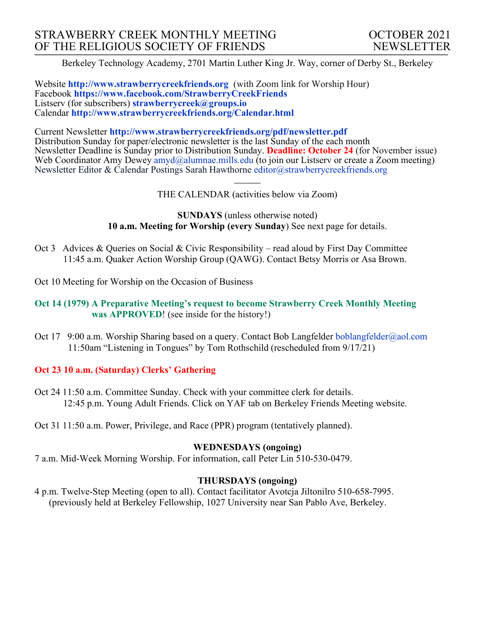Berkeley Technology Academy, 2701 Martin Luther King Jr. Way, corner of Derby St., Berkeley

Website **http://www.strawberrycreekfriends.org** (with Zoom link for Worship Hour) Facebook **https://www.facebook.com/StrawberryCreekFriends** Listserv (for subscribers) **strawberrycreek@groups.io** Calendar **http://www.strawberrycreekfriends.org/Calendar.html**

Current Newsletter **http://www.strawberrycreekfriends.org/pdf/newsletter.pdf** Distribution Sunday for paper/electronic newsletter is the last Sunday of the each month Newsletter Deadline is Sunday prior to Distribution Sunday. **Deadline: October 24** (for November issue) Web Coordinator Amy Dewey  $\frac{am\ddot{a}}{am\ddot{a}}$ alumnae.mills.edu (to join our Listserv or create a Zoom meeting) Newsletter Editor & Calendar Postings Sarah Hawthorne editor@strawberrycreekfriends.org

> $\overline{\phantom{a}}$ THE CALENDAR (activities below via Zoom)

**SUNDAYS** (unless otherwise noted) **10 a.m. Meeting for Worship (every Sunday**) See next page for details.

- Oct 3 Advices & Queries on Social & Civic Responsibility read aloud by First Day Committee 11:45 a.m. Quaker Action Worship Group (QAWG). Contact Betsy Morris or Asa Brown.
- Oct 10 Meeting for Worship on the Occasion of Business

#### **Oct 14 (1979) A Preparative Meeting's request to become Strawberry Creek Monthly Meeting was APPROVED**! (see inside for the history!)

Oct 17 9:00 a.m. Worship Sharing based on a query. Contact Bob Langfelder boblangfelder@aol.com 11:50am "Listening in Tongues" by Tom Rothschild (rescheduled from 9/17/21)

### **Oct 23 10 a.m. (Saturday) Clerks' Gathering**

Oct 24 11:50 a.m. Committee Sunday. Check with your committee clerk for details. 12:45 p.m. Young Adult Friends. Click on YAF tab on Berkeley Friends Meeting website.

Oct 31 11:50 a.m. Power, Privilege, and Race (PPR) program (tentatively planned).

### **WEDNESDAYS (ongoing)**

7 a.m. Mid-Week Morning Worship. For information, call Peter Lin 510-530-0479.

#### **THURSDAYS (ongoing)**

4 p.m. Twelve-Step Meeting (open to all). Contact facilitator Avotcja Jiltonilro 510-658-7995. (previously held at Berkeley Fellowship, 1027 University near San Pablo Ave, Berkeley.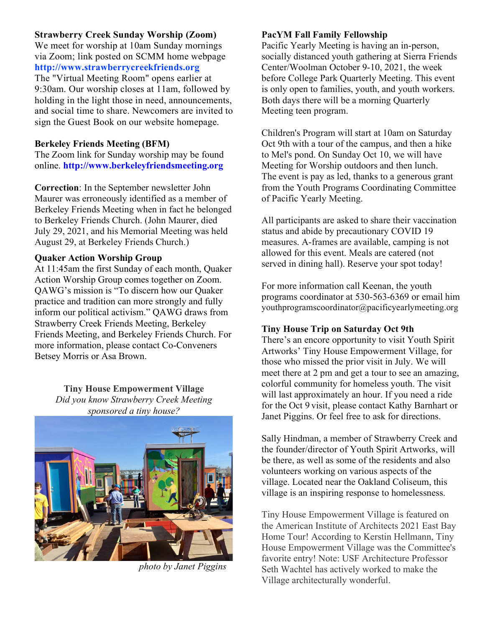### **Strawberry Creek Sunday Worship (Zoom)**

We meet for worship at 10am Sunday mornings via Zoom; link posted on SCMM home webpage **http://www.strawberrycreekfriends.org** The "Virtual Meeting Room" opens earlier at 9:30am. Our worship closes at 11am, followed by

holding in the light those in need, announcements, and social time to share. Newcomers are invited to sign the Guest Book on our website homepage.

### **Berkeley Friends Meeting (BFM)**

The Zoom link for Sunday worship may be found online. **http://www.berkeleyfriendsmeeting.org**

**Correction**: In the September newsletter John Maurer was erroneously identified as a member of Berkeley Friends Meeting when in fact he belonged to Berkeley Friends Church. (John Maurer, died July 29, 2021, and his Memorial Meeting was held August 29, at Berkeley Friends Church.)

### **Quaker Action Worship Group**

At 11:45am the first Sunday of each month, Quaker Action Worship Group comes together on Zoom. QAWG's mission is "To discern how our Quaker practice and tradition can more strongly and fully inform our political activism." QAWG draws from Strawberry Creek Friends Meeting, Berkeley Friends Meeting, and Berkeley Friends Church. For more information, please contact Co-Conveners Betsey Morris or Asa Brown.

> **Tiny House Empowerment Village** *Did you know Strawberry Creek Meeting sponsored a tiny house?*



*photo by Janet Piggins*

### **PacYM Fall Family Fellowship**

Pacific Yearly Meeting is having an in-person, socially distanced youth gathering at Sierra Friends Center/Woolman October 9-10, 2021, the week before College Park Quarterly Meeting. This event is only open to families, youth, and youth workers. Both days there will be a morning Quarterly Meeting teen program.

Children's Program will start at 10am on Saturday Oct 9th with a tour of the campus, and then a hike to Mel's pond. On Sunday Oct 10, we will have Meeting for Worship outdoors and then lunch. The event is pay as led, thanks to a generous grant from the Youth Programs Coordinating Committee of Pacific Yearly Meeting.

All participants are asked to share their vaccination status and abide by precautionary COVID 19 measures. A-frames are available, camping is not allowed for this event. Meals are catered (not served in dining hall). Reserve your spot today!

For more information call Keenan, the youth programs coordinator at 530-563-6369 or email him youthprogramscoordinator@pacificyearlymeeting.org

### **Tiny House Trip on Saturday Oct 9th**

There's an encore opportunity to visit Youth Spirit Artworks' Tiny House Empowerment Village, for those who missed the prior visit in July. We will meet there at 2 pm and get a tour to see an amazing, colorful community for homeless youth. The visit will last approximately an hour. If you need a ride for the Oct 9 visit, please contact Kathy Barnhart or Janet Piggins. Or feel free to ask for directions.

Sally Hindman, a member of Strawberry Creek and the founder/director of Youth Spirit Artworks, will be there, as well as some of the residents and also volunteers working on various aspects of the village. Located near the Oakland Coliseum, this village is an inspiring response to homelessness.

Tiny House Empowerment Village is featured on the American Institute of Architects 2021 East Bay Home Tour! According to Kerstin Hellmann, Tiny House Empowerment Village was the Committee's favorite entry! Note: USF Architecture Professor Seth Wachtel has actively worked to make the Village architecturally wonderful.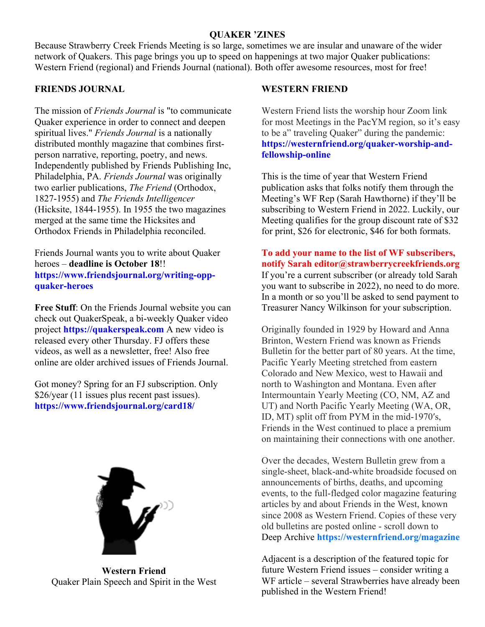#### **QUAKER 'ZINES**

Because Strawberry Creek Friends Meeting is so large, sometimes we are insular and unaware of the wider network of Quakers. This page brings you up to speed on happenings at two major Quaker publications: Western Friend (regional) and Friends Journal (national). Both offer awesome resources, most for free!

#### **FRIENDS JOURNAL**

The mission of *Friends Journal* is "to communicate Quaker experience in order to connect and deepen spiritual lives." *Friends Journal* is a nationally distributed monthly magazine that combines firstperson narrative, reporting, poetry, and news. Independently published by Friends Publishing Inc, Philadelphia, PA. *Friends Journal* was originally two earlier publications, *The Friend* (Orthodox, 1827-1955) and *The Friends Intelligencer*  (Hicksite, 1844-1955). In 1955 the two magazines merged at the same time the Hicksites and Orthodox Friends in Philadelphia reconciled.

Friends Journal wants you to write about Quaker heroes – **deadline is October 18**!! **https://www.friendsjournal.org/writing-oppquaker-heroes**

**Free Stuff**: On the Friends Journal website you can check out QuakerSpeak, a bi-weekly Quaker video project **https://quakerspeak.com** A new video is released every other Thursday. FJ offers these videos, as well as a newsletter, free! Also free online are older archived issues of Friends Journal.

Got money? Spring for an FJ subscription. Only \$26/year (11 issues plus recent past issues). **https://www.friendsjournal.org/card18/**



**Western Friend** Quaker Plain Speech and Spirit in the West

#### **WESTERN FRIEND**

Western Friend lists the worship hour Zoom link for most Meetings in the PacYM region, so it's easy to be a" traveling Quaker" during the pandemic: **https://westernfriend.org/quaker-worship-andfellowship-online**

This is the time of year that Western Friend publication asks that folks notify them through the Meeting's WF Rep (Sarah Hawthorne) if they'll be subscribing to Western Friend in 2022. Luckily, our Meeting qualifies for the group discount rate of \$32 for print, \$26 for electronic, \$46 for both formats.

**To add your name to the list of WF subscribers, notify Sarah editor@strawberrycreekfriends.org** If you're a current subscriber (or already told Sarah you want to subscribe in 2022), no need to do more. In a month or so you'll be asked to send payment to Treasurer Nancy Wilkinson for your subscription.

Originally founded in 1929 by Howard and Anna Brinton, Western Friend was known as Friends Bulletin for the better part of 80 years. At the time, Pacific Yearly Meeting stretched from eastern Colorado and New Mexico, west to Hawaii and north to Washington and Montana. Even after Intermountain Yearly Meeting (CO, NM, AZ and UT) and North Pacific Yearly Meeting (WA, OR, ID, MT) split off from PYM in the mid-1970′s, Friends in the West continued to place a premium on maintaining their connections with one another.

Over the decades, Western Bulletin grew from a single-sheet, black-and-white broadside focused on announcements of births, deaths, and upcoming events, to the full-fledged color magazine featuring articles by and about Friends in the West, known since 2008 as Western Friend. Copies of these very old bulletins are posted online - scroll down to Deep Archive **https://westernfriend.org/magazine**

Adjacent is a description of the featured topic for future Western Friend issues – consider writing a WF article – several Strawberries have already been published in the Western Friend!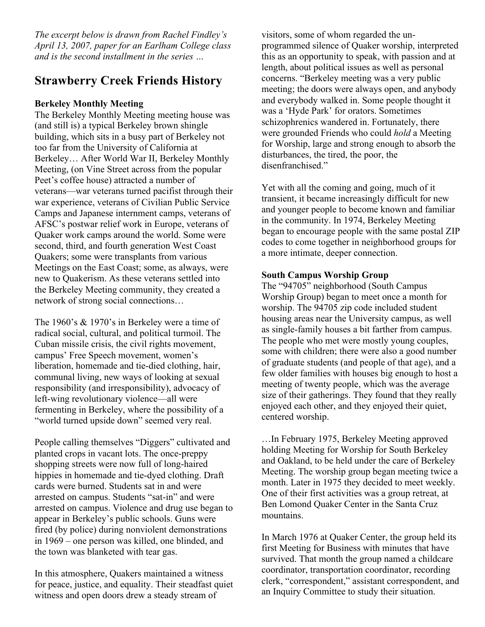*The excerpt below is drawn from Rachel Findley's April 13, 2007, paper for an Earlham College class and is the second installment in the series …*

# **Strawberry Creek Friends History**

### **Berkeley Monthly Meeting**

The Berkeley Monthly Meeting meeting house was (and still is) a typical Berkeley brown shingle building, which sits in a busy part of Berkeley not too far from the University of California at Berkeley… After World War II, Berkeley Monthly Meeting, (on Vine Street across from the popular Peet's coffee house) attracted a number of veterans—war veterans turned pacifist through their war experience, veterans of Civilian Public Service Camps and Japanese internment camps, veterans of AFSC's postwar relief work in Europe, veterans of Quaker work camps around the world. Some were second, third, and fourth generation West Coast Quakers; some were transplants from various Meetings on the East Coast; some, as always, were new to Quakerism. As these veterans settled into the Berkeley Meeting community, they created a network of strong social connections…

The 1960's & 1970's in Berkeley were a time of radical social, cultural, and political turmoil. The Cuban missile crisis, the civil rights movement, campus' Free Speech movement, women's liberation, homemade and tie-died clothing, hair, communal living, new ways of looking at sexual responsibility (and irresponsibility), advocacy of left-wing revolutionary violence—all were fermenting in Berkeley, where the possibility of a "world turned upside down" seemed very real.

People calling themselves "Diggers" cultivated and planted crops in vacant lots. The once-preppy shopping streets were now full of long-haired hippies in homemade and tie-dyed clothing. Draft cards were burned. Students sat in and were arrested on campus. Students "sat-in" and were arrested on campus. Violence and drug use began to appear in Berkeley's public schools. Guns were fired (by police) during nonviolent demonstrations in 1969 – one person was killed, one blinded, and the town was blanketed with tear gas.

In this atmosphere, Quakers maintained a witness for peace, justice, and equality. Their steadfast quiet witness and open doors drew a steady stream of

visitors, some of whom regarded the unprogrammed silence of Quaker worship, interpreted this as an opportunity to speak, with passion and at length, about political issues as well as personal concerns. "Berkeley meeting was a very public meeting; the doors were always open, and anybody and everybody walked in. Some people thought it was a 'Hyde Park' for orators. Sometimes schizophrenics wandered in. Fortunately, there were grounded Friends who could *hold* a Meeting for Worship, large and strong enough to absorb the disturbances, the tired, the poor, the disenfranchised"

Yet with all the coming and going, much of it transient, it became increasingly difficult for new and younger people to become known and familiar in the community. In 1974, Berkeley Meeting began to encourage people with the same postal ZIP codes to come together in neighborhood groups for a more intimate, deeper connection.

#### **South Campus Worship Group**

The "94705" neighborhood (South Campus Worship Group) began to meet once a month for worship. The 94705 zip code included student housing areas near the University campus, as well as single-family houses a bit farther from campus. The people who met were mostly young couples, some with children; there were also a good number of graduate students (and people of that age), and a few older families with houses big enough to host a meeting of twenty people, which was the average size of their gatherings. They found that they really enjoyed each other, and they enjoyed their quiet, centered worship.

…In February 1975, Berkeley Meeting approved holding Meeting for Worship for South Berkeley and Oakland, to be held under the care of Berkeley Meeting. The worship group began meeting twice a month. Later in 1975 they decided to meet weekly. One of their first activities was a group retreat, at Ben Lomond Quaker Center in the Santa Cruz mountains.

In March 1976 at Quaker Center, the group held its first Meeting for Business with minutes that have survived. That month the group named a childcare coordinator, transportation coordinator, recording clerk, "correspondent," assistant correspondent, and an Inquiry Committee to study their situation.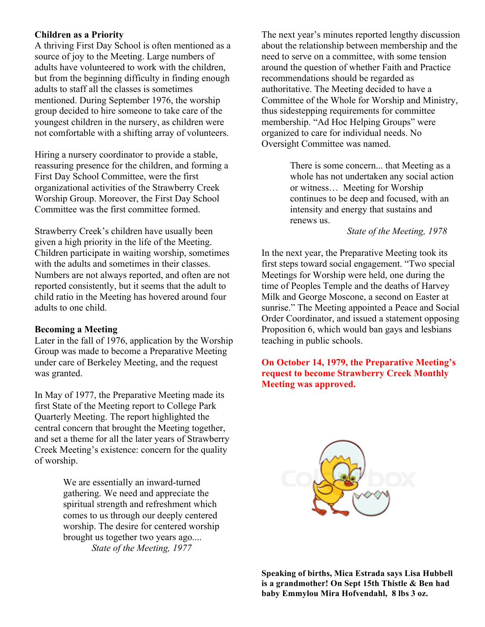#### **Children as a Priority**

A thriving First Day School is often mentioned as a source of joy to the Meeting. Large numbers of adults have volunteered to work with the children, but from the beginning difficulty in finding enough adults to staff all the classes is sometimes mentioned. During September 1976, the worship group decided to hire someone to take care of the youngest children in the nursery, as children were not comfortable with a shifting array of volunteers.

Hiring a nursery coordinator to provide a stable, reassuring presence for the children, and forming a First Day School Committee, were the first organizational activities of the Strawberry Creek Worship Group. Moreover, the First Day School Committee was the first committee formed.

Strawberry Creek's children have usually been given a high priority in the life of the Meeting. Children participate in waiting worship, sometimes with the adults and sometimes in their classes. Numbers are not always reported, and often are not reported consistently, but it seems that the adult to child ratio in the Meeting has hovered around four adults to one child.

#### **Becoming a Meeting**

Later in the fall of 1976, application by the Worship Group was made to become a Preparative Meeting under care of Berkeley Meeting, and the request was granted.

In May of 1977, the Preparative Meeting made its first State of the Meeting report to College Park Quarterly Meeting. The report highlighted the central concern that brought the Meeting together, and set a theme for all the later years of Strawberry Creek Meeting's existence: concern for the quality of worship.

> We are essentially an inward-turned gathering. We need and appreciate the spiritual strength and refreshment which comes to us through our deeply centered worship. The desire for centered worship brought us together two years ago.... *State of the Meeting, 1977*

The next year's minutes reported lengthy discussion about the relationship between membership and the need to serve on a committee, with some tension around the question of whether Faith and Practice recommendations should be regarded as authoritative. The Meeting decided to have a Committee of the Whole for Worship and Ministry, thus sidestepping requirements for committee membership. "Ad Hoc Helping Groups" were organized to care for individual needs. No Oversight Committee was named.

> There is some concern... that Meeting as a whole has not undertaken any social action or witness… Meeting for Worship continues to be deep and focused, with an intensity and energy that sustains and renews us.

#### *State of the Meeting, 1978*

In the next year, the Preparative Meeting took its first steps toward social engagement. "Two special Meetings for Worship were held, one during the time of Peoples Temple and the deaths of Harvey Milk and George Moscone, a second on Easter at sunrise." The Meeting appointed a Peace and Social Order Coordinator, and issued a statement opposing Proposition 6, which would ban gays and lesbians teaching in public schools.

**On October 14, 1979, the Preparative Meeting's request to become Strawberry Creek Monthly Meeting was approved.**



**Speaking of births, Mica Estrada says Lisa Hubbell is a grandmother! On Sept 15th Thistle & Ben had baby Emmylou Mira Hofvendahl, 8 lbs 3 oz.**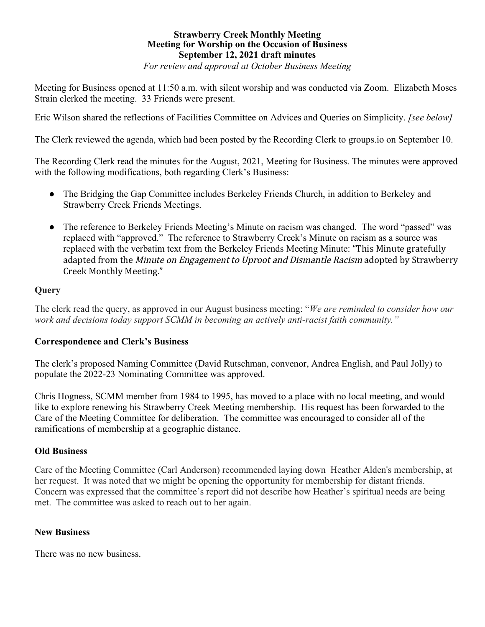#### **Strawberry Creek Monthly Meeting Meeting for Worship on the Occasion of Business September 12, 2021 draft minutes** *For review and approval at October Business Meeting*

Meeting for Business opened at 11:50 a.m. with silent worship and was conducted via Zoom. Elizabeth Moses Strain clerked the meeting. 33 Friends were present.

Eric Wilson shared the reflections of Facilities Committee on Advices and Queries on Simplicity. *[see below]*

The Clerk reviewed the agenda, which had been posted by the Recording Clerk to groups.io on September 10.

The Recording Clerk read the minutes for the August, 2021, Meeting for Business. The minutes were approved with the following modifications, both regarding Clerk's Business:

- The Bridging the Gap Committee includes Berkeley Friends Church, in addition to Berkeley and Strawberry Creek Friends Meetings.
- The reference to Berkeley Friends Meeting's Minute on racism was changed. The word "passed" was replaced with "approved." The reference to Strawberry Creek's Minute on racism as a source was replaced with the verbatim text from the Berkeley Friends Meeting Minute: "This Minute gratefully adapted from the *Minute on Engagement to Uproot and Dismantle Racism* adopted by Strawberry Creek Monthly Meeting."

### **Query**

The clerk read the query, as approved in our August business meeting: "*We are reminded to consider how our work and decisions today support SCMM in becoming an actively anti-racist faith community."*

### **Correspondence and Clerk's Business**

The clerk's proposed Naming Committee (David Rutschman, convenor, Andrea English, and Paul Jolly) to populate the 2022-23 Nominating Committee was approved.

Chris Hogness, SCMM member from 1984 to 1995, has moved to a place with no local meeting, and would like to explore renewing his Strawberry Creek Meeting membership. His request has been forwarded to the Care of the Meeting Committee for deliberation. The committee was encouraged to consider all of the ramifications of membership at a geographic distance.

### **Old Business**

Care of the Meeting Committee (Carl Anderson) recommended laying down Heather Alden's membership, at her request. It was noted that we might be opening the opportunity for membership for distant friends. Concern was expressed that the committee's report did not describe how Heather's spiritual needs are being met. The committee was asked to reach out to her again.

### **New Business**

There was no new business.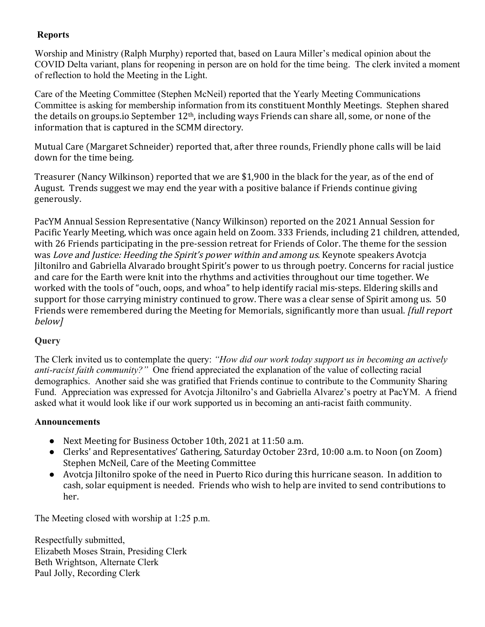## **Reports**

Worship and Ministry (Ralph Murphy) reported that, based on Laura Miller's medical opinion about the COVID Delta variant, plans for reopening in person are on hold for the time being. The clerk invited a moment of reflection to hold the Meeting in the Light.

Care of the Meeting Committee (Stephen McNeil) reported that the Yearly Meeting Communications Committee is asking for membership information from its constituent Monthly Meetings. Stephen shared the details on groups.io September  $12<sup>th</sup>$ , including ways Friends can share all, some, or none of the information that is captured in the SCMM directory.

Mutual Care (Margaret Schneider) reported that, after three rounds, Friendly phone calls will be laid down for the time being.

Treasurer (Nancy Wilkinson) reported that we are \$1,900 in the black for the year, as of the end of August. Trends suggest we may end the year with a positive balance if Friends continue giving generously.

PacYM Annual Session Representative (Nancy Wilkinson) reported on the 2021 Annual Session for Pacific Yearly Meeting, which was once again held on Zoom. 333 Friends, including 21 children, attended, with 26 Friends participating in the pre-session retreat for Friends of Color. The theme for the session was *Love* and Justice: Heeding the Spirit's power within and among us. Keynote speakers Avotcja Jiltonilro and Gabriella Alvarado brought Spirit's power to us through poetry. Concerns for racial justice and care for the Earth were knit into the rhythms and activities throughout our time together. We worked with the tools of "ouch, oops, and whoa" to help identify racial mis-steps. Eldering skills and support for those carrying ministry continued to grow. There was a clear sense of Spirit among us. 50 Friends were remembered during the Meeting for Memorials, significantly more than usual. [full report] below]

# **Query**

The Clerk invited us to contemplate the query: *"How did our work today support us in becoming an actively anti-racist faith community?"* One friend appreciated the explanation of the value of collecting racial demographics. Another said she was gratified that Friends continue to contribute to the Community Sharing Fund. Appreciation was expressed for Avotcja Jiltonilro's and Gabriella Alvarez's poetry at PacYM. A friend asked what it would look like if our work supported us in becoming an anti-racist faith community.

### **Announcements**

- Next Meeting for Business October 10th, 2021 at 11:50 a.m.
- Clerks' and Representatives' Gathering, Saturday October 23rd, 10:00 a.m. to Noon (on Zoom) Stephen McNeil, Care of the Meeting Committee
- Avotcja Jiltonilro spoke of the need in Puerto Rico during this hurricane season. In addition to cash, solar equipment is needed. Friends who wish to help are invited to send contributions to her.

The Meeting closed with worship at 1:25 p.m.

Respectfully submitted, Elizabeth Moses Strain, Presiding Clerk Beth Wrightson, Alternate Clerk Paul Jolly, Recording Clerk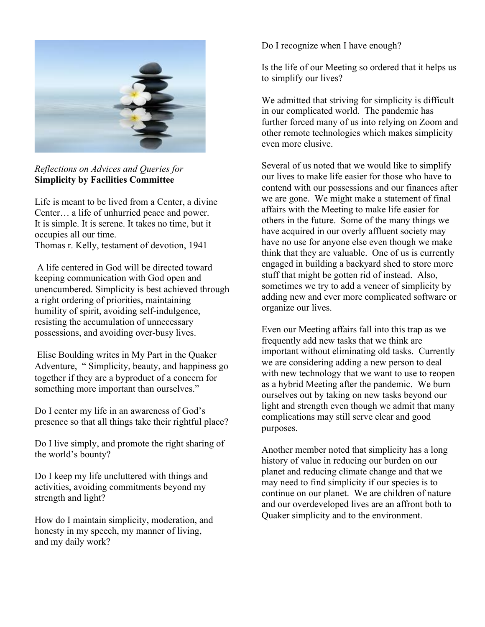

*Reflections on Advices and Queries for* **Simplicity by Facilities Committee**

Life is meant to be lived from a Center, a divine Center… a life of unhurried peace and power. It is simple. It is serene. It takes no time, but it occupies all our time.

Thomas r. Kelly, testament of devotion, 1941

A life centered in God will be directed toward keeping communication with God open and unencumbered. Simplicity is best achieved through a right ordering of priorities, maintaining humility of spirit, avoiding self-indulgence, resisting the accumulation of unnecessary possessions, and avoiding over-busy lives.

Elise Boulding writes in My Part in the Quaker Adventure, " Simplicity, beauty, and happiness go together if they are a byproduct of a concern for something more important than ourselves."

Do I center my life in an awareness of God's presence so that all things take their rightful place?

Do I live simply, and promote the right sharing of the world's bounty?

Do I keep my life uncluttered with things and activities, avoiding commitments beyond my strength and light?

How do I maintain simplicity, moderation, and honesty in my speech, my manner of living, and my daily work?

Do I recognize when I have enough?

Is the life of our Meeting so ordered that it helps us to simplify our lives?

We admitted that striving for simplicity is difficult in our complicated world. The pandemic has further forced many of us into relying on Zoom and other remote technologies which makes simplicity even more elusive.

Several of us noted that we would like to simplify our lives to make life easier for those who have to contend with our possessions and our finances after we are gone. We might make a statement of final affairs with the Meeting to make life easier for others in the future. Some of the many things we have acquired in our overly affluent society may have no use for anyone else even though we make think that they are valuable. One of us is currently engaged in building a backyard shed to store more stuff that might be gotten rid of instead. Also, sometimes we try to add a veneer of simplicity by adding new and ever more complicated software or organize our lives.

Even our Meeting affairs fall into this trap as we frequently add new tasks that we think are important without eliminating old tasks. Currently we are considering adding a new person to deal with new technology that we want to use to reopen as a hybrid Meeting after the pandemic. We burn ourselves out by taking on new tasks beyond our light and strength even though we admit that many complications may still serve clear and good purposes.

Another member noted that simplicity has a long history of value in reducing our burden on our planet and reducing climate change and that we may need to find simplicity if our species is to continue on our planet. We are children of nature and our overdeveloped lives are an affront both to Quaker simplicity and to the environment.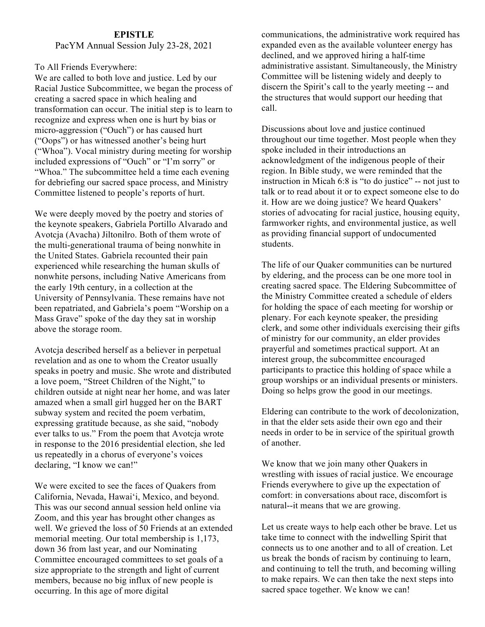#### **EPISTLE**

#### PacYM Annual Session July 23-28, 2021

#### To All Friends Everywhere:

We are called to both love and justice. Led by our Racial Justice Subcommittee, we began the process of creating a sacred space in which healing and transformation can occur. The initial step is to learn to recognize and express when one is hurt by bias or micro-aggression ("Ouch") or has caused hurt ("Oops") or has witnessed another's being hurt ("Whoa"). Vocal ministry during meeting for worship included expressions of "Ouch" or "I'm sorry" or "Whoa." The subcommittee held a time each evening for debriefing our sacred space process, and Ministry Committee listened to people's reports of hurt.

We were deeply moved by the poetry and stories of the keynote speakers, Gabriela Portillo Alvarado and Avotcja (Avacha) Jiltonilro. Both of them wrote of the multi-generational trauma of being nonwhite in the United States. Gabriela recounted their pain experienced while researching the human skulls of nonwhite persons, including Native Americans from the early 19th century, in a collection at the University of Pennsylvania. These remains have not been repatriated, and Gabriela's poem "Worship on a Mass Grave" spoke of the day they sat in worship above the storage room.

Avotcja described herself as a believer in perpetual revelation and as one to whom the Creator usually speaks in poetry and music. She wrote and distributed a love poem, "Street Children of the Night," to children outside at night near her home, and was later amazed when a small girl hugged her on the BART subway system and recited the poem verbatim, expressing gratitude because, as she said, "nobody ever talks to us." From the poem that Avotcja wrote in response to the 2016 presidential election, she led us repeatedly in a chorus of everyone's voices declaring, "I know we can!"

We were excited to see the faces of Quakers from California, Nevada, Hawai'i, Mexico, and beyond. This was our second annual session held online via Zoom, and this year has brought other changes as well. We grieved the loss of 50 Friends at an extended memorial meeting. Our total membership is 1,173, down 36 from last year, and our Nominating Committee encouraged committees to set goals of a size appropriate to the strength and light of current members, because no big influx of new people is occurring. In this age of more digital

communications, the administrative work required has expanded even as the available volunteer energy has declined, and we approved hiring a half-time administrative assistant. Simultaneously, the Ministry Committee will be listening widely and deeply to discern the Spirit's call to the yearly meeting -- and the structures that would support our heeding that call.

Discussions about love and justice continued throughout our time together. Most people when they spoke included in their introductions an acknowledgment of the indigenous people of their region. In Bible study, we were reminded that the instruction in Micah 6:8 is "to do justice" -- not just to talk or to read about it or to expect someone else to do it. How are we doing justice? We heard Quakers' stories of advocating for racial justice, housing equity, farmworker rights, and environmental justice, as well as providing financial support of undocumented students.

The life of our Quaker communities can be nurtured by eldering, and the process can be one more tool in creating sacred space. The Eldering Subcommittee of the Ministry Committee created a schedule of elders for holding the space of each meeting for worship or plenary. For each keynote speaker, the presiding clerk, and some other individuals exercising their gifts of ministry for our community, an elder provides prayerful and sometimes practical support. At an interest group, the subcommittee encouraged participants to practice this holding of space while a group worships or an individual presents or ministers. Doing so helps grow the good in our meetings.

Eldering can contribute to the work of decolonization, in that the elder sets aside their own ego and their needs in order to be in service of the spiritual growth of another.

We know that we join many other Quakers in wrestling with issues of racial justice. We encourage Friends everywhere to give up the expectation of comfort: in conversations about race, discomfort is natural--it means that we are growing.

Let us create ways to help each other be brave. Let us take time to connect with the indwelling Spirit that connects us to one another and to all of creation. Let us break the bonds of racism by continuing to learn, and continuing to tell the truth, and becoming willing to make repairs. We can then take the next steps into sacred space together. We know we can!